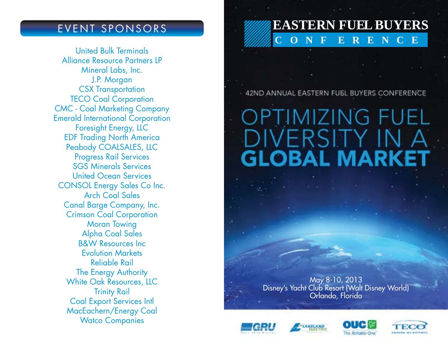United Bulk Terminals Alliance Resource Partners LP Mineral Labs, Inc. J.P. Morgan CSX Transportation TECO Coal Corporation CMC - Coal Marketing Company Emerald International Corporation Foresight Energy, LLC EDF Trading North America Peabody COALSALES, LLC Progress Rail Services SGS Minerals Services United Ocean Services CONSOL Energy Sales Co Inc. Arch Coal Sales Canal Barge Company, Inc. Crimson Coal Corporation Moran Towing Alpha Coal Sales B&W Resources Inc Evolution Markets Reliable Rail The Energy Authority White Oak Resources, LLC Trinity Rail Coal Export Services Intl MacEachern/Energy Coal Watco Companies

## EVENT SPONSORS **EASTERN FUEL BUYERS C O N F E R E N C E**

- 42ND ANNUAL EASTERN FUEL BUYERS CONFERENCE

# **OPTIMIZING FUEL** DIVERSITY IN A **GLOBAL MARKET**

May 8-10, 2013 Disney's Yacht Club Resort (Walt Disney World) Orlando, Florida





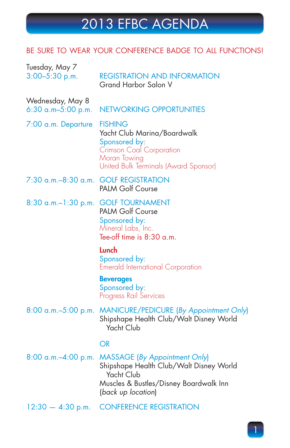### BE SURE TO WEAR YOUR CONFERENCE BADGE TO ALL FUNCTIONS!

| Tuesday, May 7<br>$3:00 - 5:30$ p.m.        | <b>REGISTRATION AND INFORMATION</b><br>Grand Harbor Salon V                                                                                                   |
|---------------------------------------------|---------------------------------------------------------------------------------------------------------------------------------------------------------------|
| Wednesday, May 8<br>$6:30$ a.m- $5:00$ p.m. | <b>NETWORKING OPPORTUNITIES</b>                                                                                                                               |
| 7:00 a.m. Departure                         | <b>FISHING</b><br>Yacht Club Marina/Boardwalk<br>Sponsored by:<br>Crimson Coal Corporation<br>Moran Towing<br>United Bulk Terminals (Award Sponsor)           |
|                                             | 7:30 a.m.-8:30 a.m. GOLF REGISTRATION<br><b>PALM Golf Course</b>                                                                                              |
| $8:30$ a.m. $-1:30$ p.m.                    | <b>GOLF TOURNAMENT</b><br><b>PALM Golf Course</b><br>Sponsored by:<br>Mineral Labs, Inc.<br>Tee-off time is 8:30 a.m.                                         |
|                                             | <b>Lunch</b><br>Sponsored by:<br><b>Emerald International Corporation</b>                                                                                     |
|                                             | <b>Beverages</b><br>Sponsored by:<br>Progress Rail Services                                                                                                   |
|                                             | 8:00 a.m.-5:00 p.m. MANICURE/PEDICURE (By Appointment Only)<br>Shipshape Health Club/Walt Disney World<br>Yacht Club                                          |
|                                             | OR                                                                                                                                                            |
| $8:00$ a.m. $-4:00$ p.m.                    | <b>MASSAGE (By Appointment Only)</b><br>Shipshape Health Club/Walt Disney World<br>Yacht Club<br>Muscles & Bustles/Disney Boardwalk Inn<br>(back up location) |
| $12:30 - 4:30$ p.m.                         | <b>CONFERENCE REGISTRATION</b>                                                                                                                                |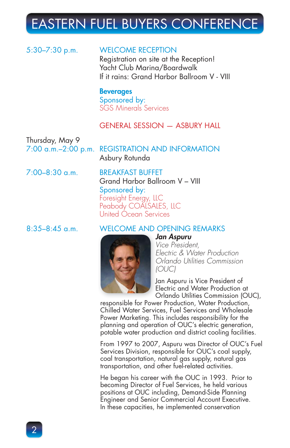#### 5:30–7:30 p.m. WELCOME RECEPTION

Registration on site at the Reception! Yacht Club Marina/Boardwalk If it rains: Grand Harbor Ballroom V - VIII

**Beverages** Sponsored by: SGS Minerals Services

### GENERAL SESSION — ASBURY HALL

Thursday, May 9

7:00 a.m.–2:00 p.m. REGISTRATION AND INFORMATION Asbury Rotunda

7:00–8:30 a.m. BREAKFAST BUFFET Grand Harbor Ballroom V – VIII Sponsored by: Foresight Energy, LLC Peabody COALSALES, LLC United Ocean Services

#### 8:35–8:45 a.m. WELCOME AND OPENING REMARKS *Jan Aspuru J*



*Vice President, Electric & Water Production Orlando Utilities Commission (OUC)*

Jan Aspuru is Vice President of J Electric and Water Production at E Orlando Utilities Commission (OUC), O

responsible for Power Production, Water Production, Chilled Water Services, Fuel Services and Wholesale Power Marketing. This includes responsibility for the planning and operation of OUC's electric generation, potable water production and district cooling facilities.

From 1997 to 2007, Aspuru was Director of OUC's Fuel Services Division, responsible for OUC's coal supply, coal transportation, natural gas supply, natural gas transportation, and other fuel-related activities.

He began his career with the OUC in 1993. Prior to becoming Director of Fuel Services, he held various positions at OUC including, Demand-Side Planning Engineer and Senior Commercial Account Executive. In these capacities, he implemented conservation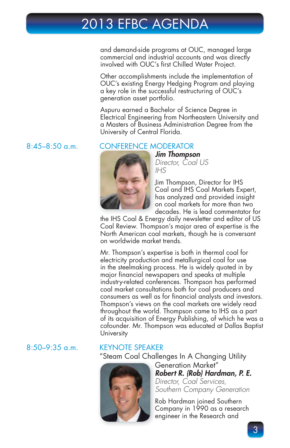and demand-side programs at OUC, managed large commercial and industrial accounts and was directly involved with OUC's first Chilled Water Project.

Other accomplishments include the implementation of OUC's existing Energy Hedging Program and playing a key role in the successful restructuring of OUC's generation asset portfolio.

Aspuru earned a Bachelor of Science Degree in Electrical Engineering from Northeastern University and a Masters of Business Administration Degree from the University of Central Florida.

#### 8:45–8:50 a.m. CONFERENCE MODERATOR CONFERENCE M



*Jim Thompson J Director, Coal US IHS*

Jim Thompson, Director for IHS J Coal and IHS Coal Markets Expert, C has analyzed and provided insight h on coal markets for more than two o decades. He is lead commentator for d

the IHS Coal & Energy daily newsletter and editor of US Coal Review. Thompson's major area of expertise is the North American coal markets, though he is conversant on worldwide market trends.

Mr. Thompson's expertise is both in thermal coal for electricity production and metallurgical coal for use in the steelmaking process. He is widely quoted in by major financial newspapers and speaks at multiple industry-related conferences. Thompson has performed coal market consultations both for coal producers and consumers as well as for financial analysts and investors. Thompson's views on the coal markets are widely read throughout the world. Thompson came to IHS as a part of its acquisition of Energy Publishing, of which he was a cofounder. Mr. Thompson was educated at Dallas Baptist University

#### 8:50–9:35 a.m. KEYNOTE SPEAKER

"Steam Coal Challenges In A Changing Utility



Generation Market" G *Robert R. (Rob) Hardman, P. E. R Director, Coal Services,* 

*Southern Company Generation S*

Rob Hardman joined Southern R Company in 1990 as a research C engineer in the Research and e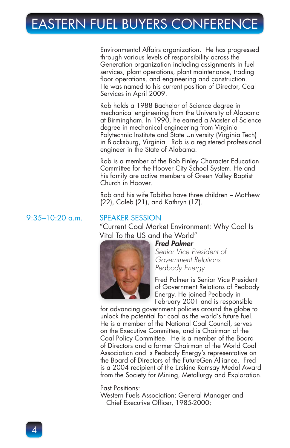Environmental Affairs organization. He has progressed through various levels of responsibility across the Generation organization including assignments in fuel services, plant operations, plant maintenance, trading floor operations, and engineering and construction. He was named to his current position of Director, Coal Services in April 2009.

Rob holds a 1988 Bachelor of Science degree in mechanical engineering from the University of Alabama at Birmingham. In 1990, he earned a Master of Science degree in mechanical engineering from Virginia Polytechnic Institute and State University (Virginia Tech) in Blacksburg, Virginia. Rob is a registered professional engineer in the State of Alabama.

Rob is a member of the Bob Finley Character Education Committee for the Hoover City School System. He and his family are active members of Green Valley Baptist Church in Hoover.

Rob and his wife Tabitha have three children – Matthew (22), Caleb (21), and Kathryn (17).

#### 9:35–10:20 a.m. SPEAKER SESSION

"Current Coal Market Environment; Why Coal Is Vital To the US and the World" Vital To the US an



*Fred Palmer F*

*Senior Vice President of S Government Relations Peabody Energy*

Fred Palmer is Senior Vice President F of Government Relations of Peabody o Energy. He joined Peabody in E February 2001 and is responsible F

for advancing government policies around the globe to unlock the potential for coal as the world's future fuel. He is a member of the National Coal Council, serves on the Executive Committee, and is Chairman of the Coal Policy Committee. He is a member of the Board of Directors and a former Chairman of the World Coal Association and is Peabody Energy's representative on the Board of Directors of the FutureGen Alliance. Fred is a 2004 recipient of the Erskine Ramsay Medal Award from the Society for Mining, Metallurgy and Exploration.

Past Positions:

Western Fuels Association: General Manager and Chief Executive Officer, 1985-2000;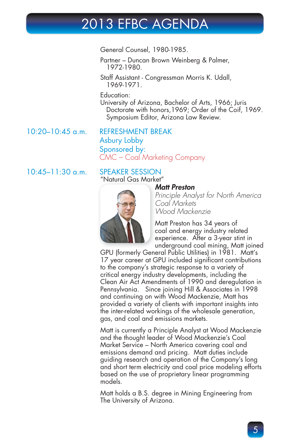General Counsel, 1980-1985.

Partner – Duncan Brown Weinberg & Palmer, 1972-1980.

Staff Assistant - Congressman Morris K. Udall, 1969-1971.

Education:

University of Arizona, Bachelor of Arts, 1966; Juris Doctorate with honors,1969; Order of the Coif, 1969. Symposium Editor, Arizona Law Review.

10:20–10:45 a.m. REFRESHMENT BREAK Asbury Lobby Sponsored by: CMC – Coal Marketing Company

### 10:45–11:30 a.m. SPEAKER SESSION

### "Natural Gas Market" Natural Gas Mark



#### *Matt Preston M*

*Principle Analyst for North America Coal Markets Wood Mackenzie*

Matt Preston has 34 years of M coal and energy industry related c experience. After a 3-year stint in e underground coal mining, Matt joined u

GPU (formerly General Public Utilities) in 1981. Matt's 17 year career at GPU included significant contributions to the company's strategic response to a variety of critical energy industry developments, including the Clean Air Act Amendments of 1990 and deregulation in Pennsylvania. Since joining Hill & Associates in 1998 and continuing on with Wood Mackenzie, Matt has provided a variety of clients with important insights into the inter-related workings of the wholesale generation, gas, and coal and emissions markets.

Matt is currently a Principle Analyst at Wood Mackenzie and the thought leader of Wood Mackenzie's Coal Market Service – North America covering coal and emissions demand and pricing. Matt duties include guiding research and operation of the Company's long and short term electricity and coal price modeling efforts based on the use of proprietary linear programming models.

Matt holds a B.S. degree in Mining Engineering from The University of Arizona.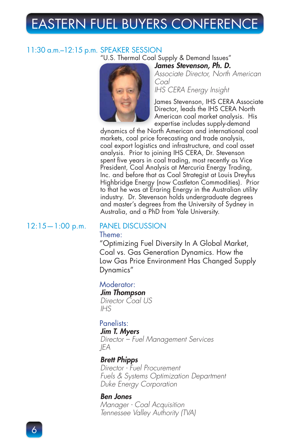#### 11:30 a.m.–12:15 p.m. SPEAKER SESSION "U.S. Thermal Coal Supply & Demand Issues" *James Stevenson, Ph. D. J*



*Associate Director, North American A Coal*

*IHS CERA Energy Insight*

James Stevenson, IHS CERA Associate J Director, leads the IHS CERA North D American coal market analysis. His A expertise includes supply-demand e

dynamics of the North American and international coal markets, coal price forecasting and trade analysis, coal export logistics and infrastructure, and coal asset analysis. Prior to joining IHS CERA, Dr. Stevenson spent five years in coal trading, most recently as Vice President, Coal Analysis at Mercuria Energy Trading, Inc. and before that as Coal Strategist at Louis Dreyfus Highbridge Energy (now Castleton Commodities). Prior to that he was at Eraring Energy in the Australian utility industry. Dr. Stevenson holds undergraduate degrees and master's degrees from the University of Sydney in Australia, and a PhD from Yale University.

#### 12:15—1:00 p.m. PANEL DISCUSSION

#### Theme:

"Optimizing Fuel Diversity In A Global Market, Coal vs. Gas Generation Dynamics. How the Low Gas Price Environment Has Changed Supply Dynamics"

#### Moderator:

*Jim Thompson Director Coal US IHS*

### Panelists:

#### *Jim T. Myers*

*Director – Fuel Management Services JEA*

#### *Brett Phipps*

*Director - Fuel Procurement Fuels & Systems Optimization Department Duke Energy Corporation*

#### *Ben Jones*

*Manager - Coal Acquisition Tennessee Valley Authority (TVA)*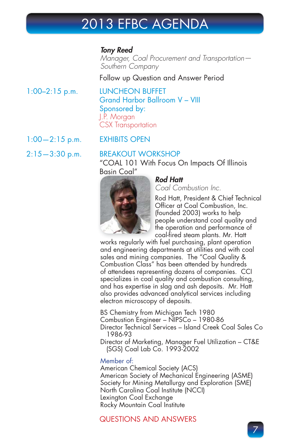#### *Tony Reed*

*Manager, Coal Procurement and Transportation— Southern Company*

Follow up Question and Answer Period

#### 1:00–2:15 p.m. LUNCHEON BUFFET Grand Harbor Ballroom V – VIII Sponsored by: J.P. Morgan CSX Transportation

### 1:00—2:15 p.m. EXHIBITS OPEN

#### 2:15—3:30 p.m. BREAKOUT WORKSHOP

"COAL 101 With Focus On Impacts Of Illinois Basin Coal" Basin Coal



### *Rod Hatt R*

*Coal Combustion Inc.*

Rod Hatt, President & Chief Technical R Officer at Coal Combustion, Inc. (founded 2003) works to help people understand coal quality and p the operation and performance of t coal-fired steam plants. Mr. Hatt

works regularly with fuel purchasing, plant operation and engineering departments at utilities and with coal sales and mining companies. The "Coal Quality & Combustion Class" has been attended by hundreds of attendees representing dozens of companies. CCI specializes in coal quality and combustion consulting, and has expertise in slag and ash deposits. Mr. Hatt also provides advanced analytical services including electron microscopy of deposits.

BS Chemistry from Michigan Tech 1980 Combustion Engineer – NIPSCo – 1980-86 Director Technical Services – Island Creek Coal Sales Co 1986-93

Director of Marketing, Manager Fuel Utilization – CT&E (SGS) Coal Lab Co. 1993-2002

#### Member of:

American Chemical Society (ACS) American Society of Mechanical Engineering (ASME) Society for Mining Metallurgy and Exploration (SME) North Carolina Coal Institute (NCCI) Lexington Coal Exchange Rocky Mountain Coal Institute

### QUESTIONS AND ANSWERS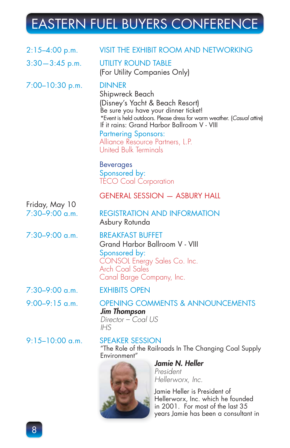| $2:15-4:00$ p.m.                   | VISIT THE EXHIBIT ROOM AND NETWORKING                                                                                                                                                                                                                                                                                                    |
|------------------------------------|------------------------------------------------------------------------------------------------------------------------------------------------------------------------------------------------------------------------------------------------------------------------------------------------------------------------------------------|
| $3:30-3:45$ p.m.                   | <b>UTILITY ROUND TABLE</b><br>(For Utility Companies Only)                                                                                                                                                                                                                                                                               |
| $7:00-10:30$ p.m.                  | <b>DINNER</b><br>Shipwreck Beach<br>(Disney's Yacht & Beach Resort)<br>Be sure you have your dinner ticket!<br>*Event is held outdoors. Please dress for warm weather. (Casual attire)<br>If it rains: Grand Harbor Ballroom V - VIII<br><b>Partnering Sponsors:</b><br>Alliance Resource Partners, L.P.<br><b>United Bulk Terminals</b> |
|                                    | <b>Beverages</b><br>Sponsored by:<br><b>TECO Coal Corporation</b>                                                                                                                                                                                                                                                                        |
|                                    | <b>GENERAL SESSION - ASBURY HALL</b>                                                                                                                                                                                                                                                                                                     |
| Friday, May 10<br>$7:30-9:00$ a.m. | <b>REGISTRATION AND INFORMATION</b><br>Asbury Rotunda                                                                                                                                                                                                                                                                                    |
| $7:30-9:00$ a.m.                   | <b>BREAKFAST BUFFET</b><br>Grand Harbor Ballroom V - VIII<br>Sponsored by:<br>CONSOL Energy Sales Co. Inc.<br>Arch Coal Sales<br>Canal Barge Company, Inc.                                                                                                                                                                               |
| $7:30-9:00$ a.m.                   | <b>EXHIBITS OPEN</b>                                                                                                                                                                                                                                                                                                                     |
| $9:00-9:15$ a.m.                   | <b>OPENING COMMENTS &amp; ANNOUNCEMENTS</b><br><b>Jim Thompson</b><br>Director - Coal US<br>IHS                                                                                                                                                                                                                                          |
| $9:15-10:00$ a.m.                  | <b>SPEAKER SESSION</b><br>"The Role of the Railroads In The Changing Coal Supply<br>Environment"<br>Jamie N. Heller<br>Prosidont                                                                                                                                                                                                         |

*President Hellerworx, Inc.*

Jamie Heller is President of J Hellerworx, Inc. which he founded H in 2001. For most of the last 35 i years Jamie has been a consultant in y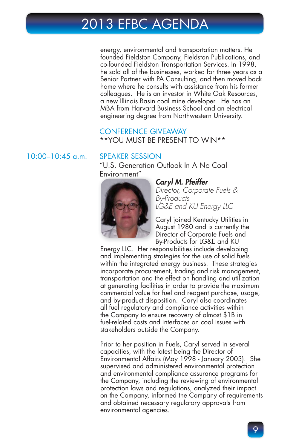energy, environmental and transportation matters. He founded Fieldston Company, Fieldston Publications, and co-founded Fieldston Transportation Services. In 1998, he sold all of the businesses, worked for three years as a Senior Partner with PA Consulting, and then moved back home where he consults with assistance from his former colleagues. He is an investor in White Oak Resources, a new Illinois Basin coal mine developer. He has an MBA from Harvard Business School and an electrical engineering degree from Northwestern University.

#### CONFERENCE GIVEAWAY \*\*YOU MUST BE PRESENT TO WIN\*\*

#### 10:00–10:45 a.m. SPEAKER SESSION

"U.S. Generation Outlook In A No Coal Environment" Environment



#### Caryl M. Pfeiffer

*Director, Corporate Fuels & By-Products LG&E and KU Energy LLC*

Caryl joined Kentucky Utilities in C August 1980 and is currently the A Director of Corporate Fuels and D By-Products for LG&E and KU B

Energy LLC. Her responsibilities include developing and implementing strategies for the use of solid fuels within the integrated energy business. These strategies incorporate procurement, trading and risk management, transportation and the effect on handling and utilization at generating facilities in order to provide the maximum commercial value for fuel and reagent purchase, usage, and by-product disposition. Caryl also coordinates all fuel regulatory and compliance activities within the Company to ensure recovery of almost \$1B in fuel-related costs and interfaces on coal issues with stakeholders outside the Company.

Prior to her position in Fuels, Caryl served in several capacities, with the latest being the Director of Environmental Affairs (May 1998 - January 2003). She supervised and administered environmental protection and environmental compliance assurance programs for the Company, including the reviewing of environmental protection laws and regulations, analyzed their impact on the Company, informed the Company of requirements and obtained necessary regulatory approvals from environmental agencies.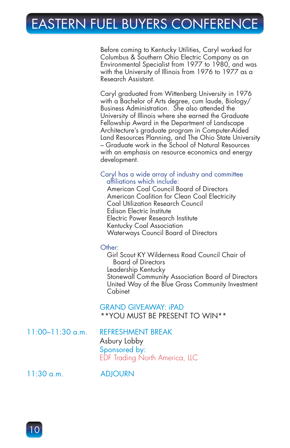Before coming to Kentucky Utilities, Caryl worked for Columbus & Southern Ohio Electric Company as an Environmental Specialist from 1977 to 1980, and was with the University of Illinois from 1976 to 1977 as a Research Assistant.

Caryl graduated from Wittenberg University in 1976 with a Bachelor of Arts degree, cum laude, Biology/ Business Administration. She also attended the University of Illinois where she earned the Graduate Fellowship Award in the Department of Landscape Architecture's graduate program in Computer-Aided Land Resources Planning, and The Ohio State University – Graduate work in the School of Natural Resources with an emphasis on resource economics and energy development.

#### Caryl has a wide array of industry and committee affiliations which include:

 American Coal Council Board of Directors American Coalition for Clean Coal Electricity Coal Utilization Research Council Edison Electric Institute Electric Power Research Institute Kentucky Coal Association Waterways Council Board of Directors

#### Other:

 Girl Scout KY Wilderness Road Council Chair of Board of Directors Leadership Kentucky Stonewall Community Association Board of Directors United Way of the Blue Grass Community Investment Cabinet

#### GRAND GIVEAWAY: iPAD

\*\*YOU MUST BE PRESENT TO WIN\*\*

11:00–11:30 a.m. REFRESHMENT BREAK

## Asbury Lobby

Sponsored by: EDF Trading North America, LLC

11:30 a.m. ADJOURN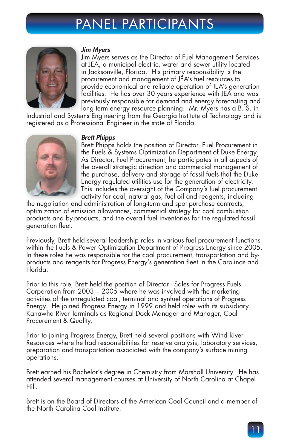## PANEL PARTICIPANTS



#### *Jim Myers J*

Jim Myers serves as the Director of Fuel Management Services J at JEA, a municipal electric, water and sewer utility located a in Jacksonville, Florida. His primary responsibility is the i procurement and management of JEA's fuel resources to p provide economical and reliable operation of JEA's generation p facilities. He has over 30 years experience with JEA and was f previously responsible for demand and energy forecasting and p long term energy resource planning. Mr. Myers has a B. S. in l

Industrial and Systems Engineering from the Georgia Institute of Technology and is registered as a Professional Engineer in the state of Florida.



#### *Brett Phipps B*

Brett Phipps holds the position of Director, Fuel Procurement in B the Fuels & Systems Optimization Department of Duke Energy. t As Director, Fuel Procurement, he participates in all aspects of A the overall strategic direction and commercial management of t the purchase, delivery and storage of fossil fuels that the Duke t Energy regulated utilities use for the generation of electricity. E This includes the oversight of the Company's fuel procurement T activity for coal, natural gas, fuel oil and reagents, including a

the negotiation and administration of long-term and spot purchase contracts, optimization of emission allowances, commercial strategy for coal combustion products and by-products, and the overall fuel inventories for the regulated fossil generation fleet.

Previously, Brett held several leadership roles in various fuel procurement functions within the Fuels & Power Optimization Department of Progress Energy since 2005. In these roles he was responsible for the coal procurement, transportation and byproducts and reagents for Progress Energy's generation fleet in the Carolinas and Florida.

Prior to this role, Brett held the position of Director - Sales for Progress Fuels Corporation from 2003 – 2005 where he was involved with the marketing activities of the unregulated coal, terminal and synfuel operations of Progress Energy. He joined Progress Energy in 1999 and held roles with its subsidiary Kanawha River Terminals as Regional Dock Manager and Manager, Coal Procurement & Quality.

Prior to joining Progress Energy, Brett held several positions with Wind River Resources where he had responsibilities for reserve analysis, laboratory services, preparation and transportation associated with the company's surface mining operations.

Brett earned his Bachelor's degree in Chemistry from Marshall University. He has attended several management courses at University of North Carolina at Chapel Hill.

Brett is on the Board of Directors of the American Coal Council and a member of the North Carolina Coal Institute.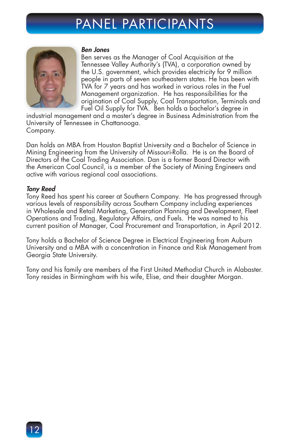### PANEL PARTICIPANTS



#### *Ben Jones B*

Ben serves as the Manager of Coal Acquisition at the B Tennessee Valley Authority's (TVA), a corporation owned by T the U.S. government, which provides electricity for 9 million t people in parts of seven southeastern states. He has been with p TVA for 7 years and has worked in various roles in the Fuel T Management organization. He has responsibilities for the M origination of Coal Supply, Coal Transportation, Terminals and o Fuel Oil Supply for TVA. Ben holds a bachelor's degree in F

industrial management and a master's degree in Business Administration from the University of Tennessee in Chattanooga. Company.

Dan holds an MBA from Houston Baptist University and a Bachelor of Science in Mining Engineering from the University of Missouri-Rolla. He is on the Board of Directors of the Coal Trading Association. Dan is a former Board Director with the American Coal Council, is a member of the Society of Mining Engineers and active with various regional coal associations.

#### *Tony Reed*

Tony Reed has spent his career at Southern Company. He has progressed through various levels of responsibility across Southern Company including experiences in Wholesale and Retail Marketing, Generation Planning and Development, Fleet Operations and Trading, Regulatory Affairs, and Fuels. He was named to his current position of Manager, Coal Procurement and Transportation, in April 2012.

Tony holds a Bachelor of Science Degree in Electrical Engineering from Auburn University and a MBA with a concentration in Finance and Risk Management from Georgia State University.

Tony and his family are members of the First United Methodist Church in Alabaster. Tony resides in Birmingham with his wife, Elise, and their daughter Morgan.